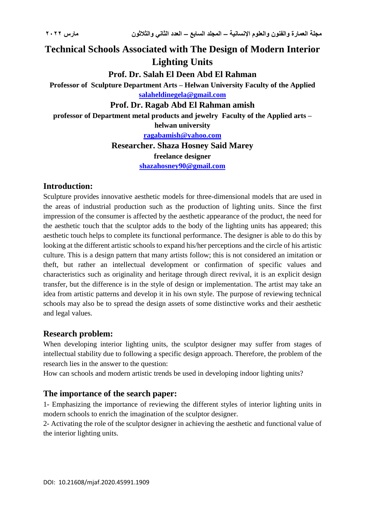# **Technical Schools Associated with The Design of Modern Interior Lighting Units**

# **Prof. Dr. Salah El Deen Abd El Rahman**

**Professor of Sculpture Department Arts – Helwan University Faculty of the Applied [salaheldinegela@gmail.com](mailto:salaheldinegela@gmail.com)**

#### **Prof. Dr. Ragab Abd El Rahman amish**

**professor of Department metal products and jewelry Faculty of the Applied arts – helwan university**

**[ragabamish@yahoo.com](mailto:ragabamish@yahoo.com)**

**Researcher. Shaza Hosney Said Marey freelance designer**

**[shazahosney90@gmail.com](mailto:shazahosney90@gmail.com)**

### **Introduction:**

Sculpture provides innovative aesthetic models for three-dimensional models that are used in the areas of industrial production such as the production of lighting units. Since the first impression of the consumer is affected by the aesthetic appearance of the product, the need for the aesthetic touch that the sculptor adds to the body of the lighting units has appeared; this aesthetic touch helps to complete its functional performance. The designer is able to do this by looking at the different artistic schools to expand his/her perceptions and the circle of his artistic culture. This is a design pattern that many artists follow; this is not considered an imitation or theft, but rather an intellectual development or confirmation of specific values and characteristics such as originality and heritage through direct revival, it is an explicit design transfer, but the difference is in the style of design or implementation. The artist may take an idea from artistic patterns and develop it in his own style. The purpose of reviewing technical schools may also be to spread the design assets of some distinctive works and their aesthetic and legal values.

# **Research problem:**

When developing interior lighting units, the sculptor designer may suffer from stages of intellectual stability due to following a specific design approach. Therefore, the problem of the research lies in the answer to the question:

How can schools and modern artistic trends be used in developing indoor lighting units?

# **The importance of the search paper:**

1- Emphasizing the importance of reviewing the different styles of interior lighting units in modern schools to enrich the imagination of the sculptor designer.

2- Activating the role of the sculptor designer in achieving the aesthetic and functional value of the interior lighting units.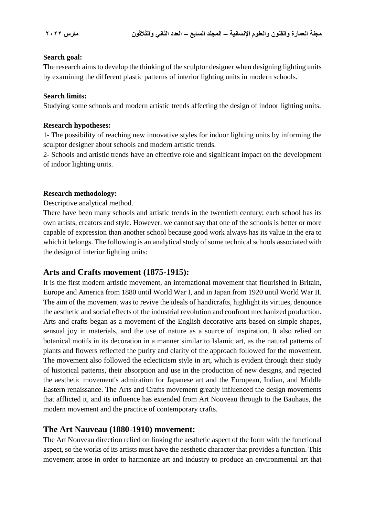#### **Search goal:**

The research aims to develop the thinking of the sculptor designer when designing lighting units by examining the different plastic patterns of interior lighting units in modern schools.

#### **Search limits:**

Studying some schools and modern artistic trends affecting the design of indoor lighting units.

#### **Research hypotheses:**

1- The possibility of reaching new innovative styles for indoor lighting units by informing the sculptor designer about schools and modern artistic trends.

2- Schools and artistic trends have an effective role and significant impact on the development of indoor lighting units.

#### **Research methodology:**

Descriptive analytical method.

There have been many schools and artistic trends in the twentieth century; each school has its own artists, creators and style. However, we cannot say that one of the schools is better or more capable of expression than another school because good work always has its value in the era to which it belongs. The following is an analytical study of some technical schools associated with the design of interior lighting units:

#### **Arts and Crafts movement (1875-1915):**

It is the first modern artistic movement, an international movement that flourished in Britain, Europe and America from 1880 until World War I, and in Japan from 1920 until World War II. The aim of the movement was to revive the ideals of handicrafts, highlight its virtues, denounce the aesthetic and social effects of the industrial revolution and confront mechanized production. Arts and crafts began as a movement of the English decorative arts based on simple shapes, sensual joy in materials, and the use of nature as a source of inspiration. It also relied on botanical motifs in its decoration in a manner similar to Islamic art, as the natural patterns of plants and flowers reflected the purity and clarity of the approach followed for the movement. The movement also followed the eclecticism style in art, which is evident through their study of historical patterns, their absorption and use in the production of new designs, and rejected the aesthetic movement's admiration for Japanese art and the European, Indian, and Middle Eastern renaissance. The Arts and Crafts movement greatly influenced the design movements that afflicted it, and its influence has extended from Art Nouveau through to the Bauhaus, the modern movement and the practice of contemporary crafts.

#### **The Art Nauveau (1880-1910) movement:**

The Art Nouveau direction relied on linking the aesthetic aspect of the form with the functional aspect, so the works of its artists must have the aesthetic character that provides a function. This movement arose in order to harmonize art and industry to produce an environmental art that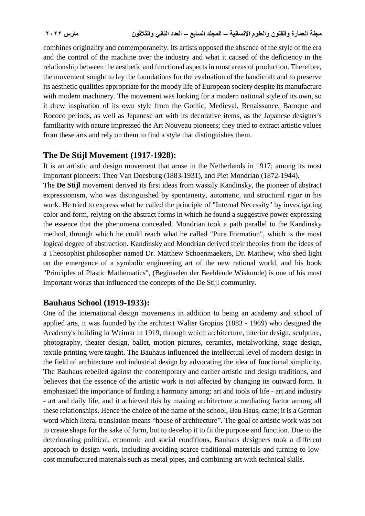combines originality and contemporaneity. Its artists opposed the absence of the style of the era and the control of the machine over the industry and what it caused of the deficiency in the relationship between the aesthetic and functional aspects in most areas of production. Therefore, the movement sought to lay the foundations for the evaluation of the handicraft and to preserve its aesthetic qualities appropriate for the moody life of European society despite its manufacture with modern machinery. The movement was looking for a modern national style of its own, so it drew inspiration of its own style from the Gothic, Medieval, Renaissance, Baroque and Rococo periods, as well as Japanese art with its decorative items, as the Japanese designer's familiarity with nature impressed the Art Nouveau pioneers; they tried to extract artistic values from these arts and rely on them to find a style that distinguishes them.

### **The De Stijl Movement (1917-1928):**

It is an artistic and design movement that arose in the Netherlands in 1917; among its most important pioneers: Theo Van Doesburg (1883-1931), and Piet Mondrian (1872-1944).

The **De Stijl** movement derived its first ideas from wassily Kandinsky, the pioneer of abstract expressionism, who was distinguished by spontaneity, automatic, and structural rigor in his work. He tried to express what he called the principle of "Internal Necessity" by investigating color and form, relying on the abstract forms in which he found a suggestive power expressing the essence that the phenomena concealed. Mondrian took a path parallel to the Kandinsky method, through which he could reach what he called "Pure Formation", which is the most logical degree of abstraction. Kandinsky and Mondrian derived their theories from the ideas of a Theosophist philosopher named Dr. Matthew Schoenmaekers, Dr. Matthew, who shed light on the emergence of a symbolic engineering art of the new rational world, and his book "Principles of Plastic Mathematics", (Beginselen der Beeldende Wiskunde) is one of his most important works that influenced the concepts of the De Stijl community.

# **Bauhaus School (1919-1933):**

One of the international design movements in addition to being an academy and school of applied arts, it was founded by the architect Walter Gropius (1883 - 1969) who designed the Academy's building in Weimar in 1919, through which architecture, interior design, sculpture, photography, theater design, ballet, motion pictures, ceramics, metalworking, stage design, textile printing were taught. The Bauhaus influenced the intellectual level of modern design in the field of architecture and industrial design by advocating the idea of functional simplicity. The Bauhaus rebelled against the contemporary and earlier artistic and design traditions, and believes that the essence of the artistic work is not affected by changing its outward form. It emphasized the importance of finding a harmony among: art and tools of life - art and industry - art and daily life, and it achieved this by making architecture a mediating factor among all these relationships. Hence the choice of the name of the school, Bau Haus, came; it is a German word which literal translation means "house of architecture". The goal of artistic work was not to create shape for the sake of form, but to develop it to fit the purpose and function. Due to the deteriorating political, economic and social conditions, Bauhaus designers took a different approach to design work, including avoiding scarce traditional materials and turning to lowcost manufactured materials such as metal pipes, and combining art with technical skills.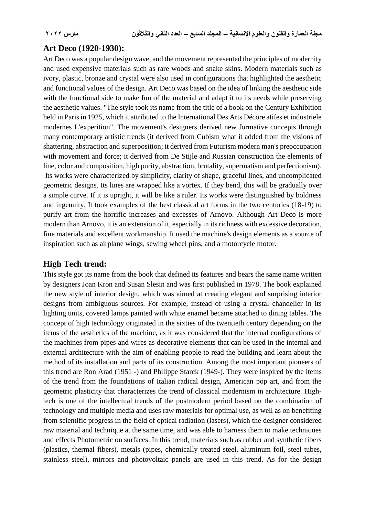#### **Art Deco (1920-1930):**

Art Deco was a popular design wave, and the movement represented the principles of modernity and used expensive materials such as rare woods and snake skins. Modern materials such as ivory, plastic, bronze and crystal were also used in configurations that highlighted the aesthetic and functional values of the design. Art Deco was based on the idea of linking the aesthetic side with the functional side to make fun of the material and adapt it to its needs while preserving the aesthetic values. "The style took its name from the title of a book on the Century Exhibition held in Paris in 1925, which it attributed to the International Des Arts Décore atifes et industriele modernes L'experition". The movement's designers derived new formative concepts through many contemporary artistic trends (it derived from Cubism what it added from the visions of shattering, abstraction and superposition; it derived from Futurism modern man's preoccupation with movement and force; it derived from De Stijle and Russian construction the elements of line, color and composition, high purity, abstraction, brutality, supermatism and perfectionism). Its works were characterized by simplicity, clarity of shape, graceful lines, and uncomplicated geometric designs. Its lines are wrapped like a vortex. If they bend, this will be gradually over a simple curve. If it is upright, it will be like a ruler. Its works were distinguished by boldness and ingenuity. It took examples of the best classical art forms in the two centuries (18-19) to purify art from the horrific increases and excesses of Arnovo. Although Art Deco is more modern than Arnovo, it is an extension of it, especially in its richness with excessive decoration, fine materials and excellent workmanship. It used the machine's design elements as a source of inspiration such as airplane wings, sewing wheel pins, and a motorcycle motor.

#### **High Tech trend:**

This style got its name from the book that defined its features and bears the same name written by designers Joan Kron and Susan Slesin and was first published in 1978. The book explained the new style of interior design, which was aimed at creating elegant and surprising interior designs from ambiguous sources. For example, instead of using a crystal chandelier in its lighting units, covered lamps painted with white enamel became attached to dining tables. The concept of high technology originated in the sixties of the twentieth century depending on the items of the aesthetics of the machine, as it was considered that the internal configurations of the machines from pipes and wires as decorative elements that can be used in the internal and external architecture with the aim of enabling people to read the building and learn about the method of its installation and parts of its construction. Among the most important pioneers of this trend are Ron Arad (1951 -) and Philippe Starck (1949-). They were inspired by the items of the trend from the foundations of Italian radical design, American pop art, and from the geometric plasticity that characterizes the trend of classical modernism in architecture. Hightech is one of the intellectual trends of the postmodern period based on the combination of technology and multiple media and uses raw materials for optimal use, as well as on benefiting from scientific progress in the field of optical radiation (lasers), which the designer considered raw material and technique at the same time, and was able to harness them to make techniques and effects Photometric on surfaces. In this trend, materials such as rubber and synthetic fibers (plastics, thermal fibers), metals (pipes, chemically treated steel, aluminum foil, steel tubes, stainless steel), mirrors and photovoltaic panels are used in this trend. As for the design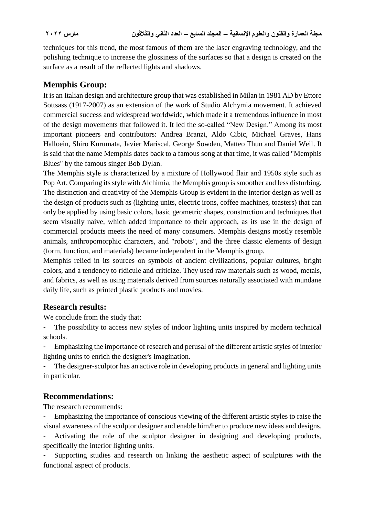techniques for this trend, the most famous of them are the laser engraving technology, and the polishing technique to increase the glossiness of the surfaces so that a design is created on the surface as a result of the reflected lights and shadows.

# **Memphis Group:**

It is an Italian design and architecture group that was established in Milan in 1981 AD by Ettore Sottsass (1917-2007) as an extension of the work of Studio Alchymia movement. It achieved commercial success and widespread worldwide, which made it a tremendous influence in most of the design movements that followed it. It led the so-called "New Design." Among its most important pioneers and contributors: Andrea Branzi, Aldo Cibic, Michael Graves, Hans Halloein, Shiro Kurumata, Javier Mariscal, George Sowden, Matteo Thun and Daniel Weil. It is said that the name Memphis dates back to a famous song at that time, it was called "Memphis Blues" by the famous singer Bob Dylan.

The Memphis style is characterized by a mixture of Hollywood flair and 1950s style such as Pop Art. Comparing its style with Alchimia, the Memphis group is smoother and less disturbing. The distinction and creativity of the Memphis Group is evident in the interior design as well as the design of products such as (lighting units, electric irons, coffee machines, toasters) that can only be applied by using basic colors, basic geometric shapes, construction and techniques that seem visually naive, which added importance to their approach, as its use in the design of commercial products meets the need of many consumers. Memphis designs mostly resemble animals, anthropomorphic characters, and "robots", and the three classic elements of design (form, function, and materials) became independent in the Memphis group.

Memphis relied in its sources on symbols of ancient civilizations, popular cultures, bright colors, and a tendency to ridicule and criticize. They used raw materials such as wood, metals, and fabrics, as well as using materials derived from sources naturally associated with mundane daily life, such as printed plastic products and movies.

# **Research results:**

We conclude from the study that:

The possibility to access new styles of indoor lighting units inspired by modern technical schools.

- Emphasizing the importance of research and perusal of the different artistic styles of interior lighting units to enrich the designer's imagination.

The designer-sculptor has an active role in developing products in general and lighting units in particular.

# **Recommendations:**

The research recommends:

- Emphasizing the importance of conscious viewing of the different artistic styles to raise the visual awareness of the sculptor designer and enable him/her to produce new ideas and designs.

Activating the role of the sculptor designer in designing and developing products, specifically the interior lighting units.

Supporting studies and research on linking the aesthetic aspect of sculptures with the functional aspect of products.